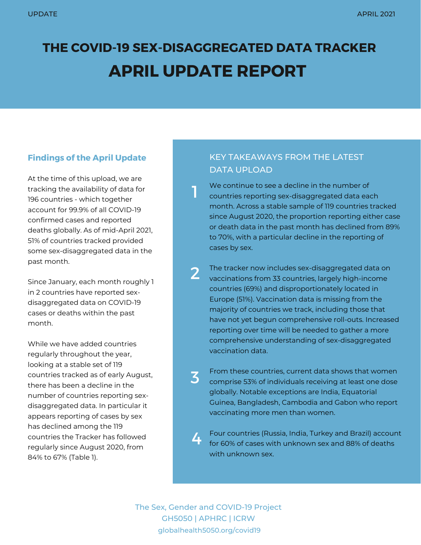# **THE COVID-19 SEX-DISAGGREGATED DATA TRACKER APRIL UPDATE REPORT**

1

# **Findings of the April Update**

At the time of this upload, we are tracking the availability of data for 196 countries - which together account for 99.9% of all COVID-19 confirmed cases and reported deaths globally. As of mid-April 2021, 51% of countries tracked provided some sex-disaggregated data in the past month.

Since January, each month roughly 1 in 2 countries have reported sexdisaggregated data on COVID-19 cases or deaths within the past month.

While we have added countries regularly throughout the year, looking at a stable set of 119 countries tracked as of early August, there has been a decline in the number of countries reporting sexdisaggregated data. In particular it appears reporting of cases by sex has declined among the 119 countries the Tracker has followed regularly since August 2020, from 84% to 67% (Table 1).

# KEY TAKEAWAYS FROM THE LATEST DATA UPLOAD

We continue to see a decline in the number of countries reporting sex-disaggregated data each month. Across a stable sample of 119 countries tracked since August 2020, the proportion reporting either case or death data in the past month has declined from 89% to 70%, with a particular decline in the reporting of cases by sex.

The tracker now includes sex-disaggregated data on vaccinations from 33 countries, largely high-income countries (69%) and disproportionately located in Europe (51%). Vaccination data is missing from the majority of countries we track, including those that have not yet begun comprehensive roll-outs. Increased reporting over time will be needed to gather a more comprehensive understanding of sex-disaggregated vaccination data. 2

From these countries, current data shows that women comprise 53% of individuals receiving at least one dose globally. Notable exceptions are India, Equatorial Guinea, Bangladesh, Cambodia and Gabon who report vaccinating more men than women. 3

Four countries (Russia, India, Turkey and Brazil) account for 60% of cases with unknown sex and 88% of deaths with unknown sex. 4

The Sex, Gender and COVID-19 Project GH5050 | APHRC | ICRW globalhealth5050.org/covid19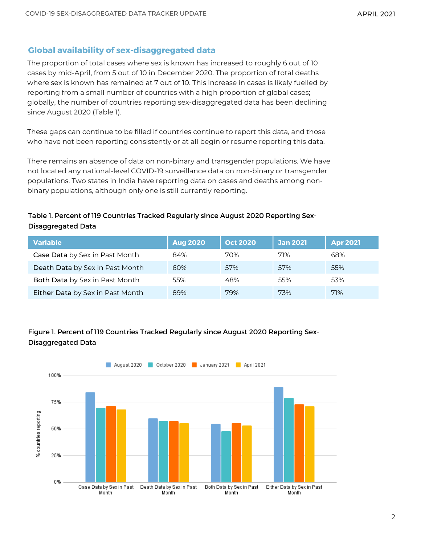## **Global availability of sex-disaggregated data**

The proportion of total cases where sex is known has increased to roughly 6 out of 10 cases by mid-April, from 5 out of 10 in December 2020. The proportion of total deaths where sex is known has remained at 7 out of 10. This increase in cases is likely fuelled by reporting from a small number of countries with a high proportion of global cases; globally, the number of countries reporting sex-disaggregated data has been declining since August 2020 (Table 1).

These gaps can continue to be filled if countries continue to report this data, and those who have not been reporting consistently or at all begin or resume reporting this data.

There remains an absence of data on non-binary and transgender populations. We have not located any national-level COVID-19 surveillance data on non-binary or transgender populations. Two states in India have reporting data on cases and deaths among nonbinary populations, although only one is still currently reporting.

#### Table 1. Percent of 119 Countries Tracked Regularly since August 2020 Reporting Sex-Disaggregated Data

| <b>Variable</b>                  | <b>Aug 2020</b> | <b>Oct 2020</b> | <b>Jan 2021</b> | <b>Apr 2021</b> |
|----------------------------------|-----------------|-----------------|-----------------|-----------------|
| Case Data by Sex in Past Month   | 84%             | 70%             | 71%             | 68%             |
| Death Data by Sex in Past Month  | 60%             | 57%             | 57%             | 55%             |
| Both Data by Sex in Past Month   | 55%             | 48%             | 55%             | 53%             |
| Either Data by Sex in Past Month | 89%             | 79%             | 73%             | 71%             |

## Figure 1. Percent of 119 Countries Tracked Regularly since August 2020 Reporting Sex-Disaggregated Data

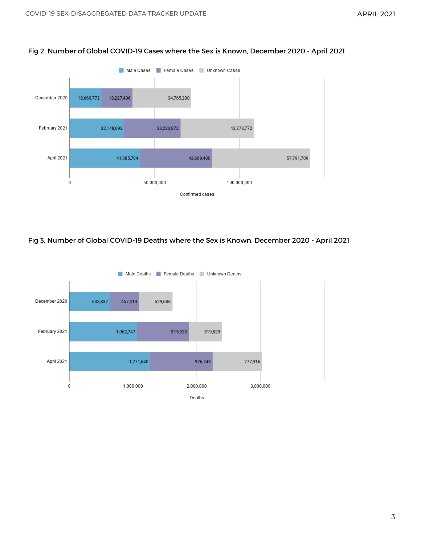

#### Fig 2. Number of Global COVID-19 Cases where the Sex is Known, December 2020 - April 2021

#### Fig 3. Number of Global COVID-19 Deaths where the Sex is Known, December 2020 - April 2021

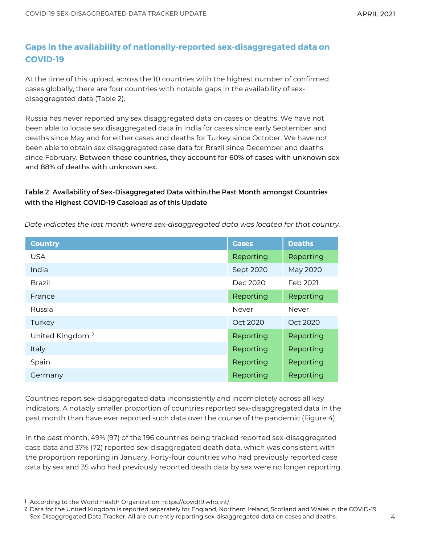# **Gaps in the availability of nationally-reported sex-disaggregated data on COVID-19**

At the time of this upload, across the 10 countries with the highest number of confirmed cases globally, there are four countries with notable gaps in the availability of sexdisaggregated data (Table 2).

Russia has never reported any sex disaggregated data on cases or deaths. We have not been able to locate sex disaggregated data in India for cases since early September and deaths since May and for either cases and deaths for Turkey since October. We have not been able to obtain sex disaggregated case data for Brazil since December and deaths since February. Between these countries, they account for 60% of cases with unknown sex and 88% of deaths with unknown sex.

### Table 2. Availability of Sex-Disaggregated Data within ${}_{\rm l}$ the Past Month amongst Countries with the Highest COVID-19 Caseload as of this Update

| <b>Country</b>              | <b>Cases</b> | <b>Deaths</b> |
|-----------------------------|--------------|---------------|
| <b>USA</b>                  | Reporting    | Reporting     |
| India                       | Sept 2020    | May 2020      |
| <b>Brazil</b>               | Dec 2020     | Feb 2021      |
| France                      | Reporting    | Reporting     |
| Russia                      | Never        | Never         |
| Turkey                      | Oct 2020     | Oct 2020      |
| United Kingdom <sup>2</sup> | Reporting    | Reporting     |
| Italy                       | Reporting    | Reporting     |
| Spain                       | Reporting    | Reporting     |
| Germany                     | Reporting    | Reporting     |

*Date indicates the last month where sex-disaggregated data was located for that country.*

Countries report sex-disaggregated data inconsistently and incompletely across all key indicators. A notably smaller proportion of countries reported sex-disaggregated data in the past month than have ever reported such data over the course of the pandemic (Figure 4).

In the past month, 49% (97) of the 196 countries being tracked reported sex-disaggregated case data and 37% (72) reported sex-disaggregated death data, which was consistent with the proportion reporting in January. Forty-four countries who had previously reported case data by sex and 35 who had previously reported death data by sex were no longer reporting.

<sup>&</sup>lt;sup>1</sup> According to the World Health Organization, <u><https://covid19.who.int/></u>

<sup>2</sup> Data for the United Kingdom is reported separately for England, Northern Ireland, Scotland and Wales in the COVID-19 Sex-Disaggregated Data Tracker. All are currently reporting sex-disaggregated data on cases and deaths.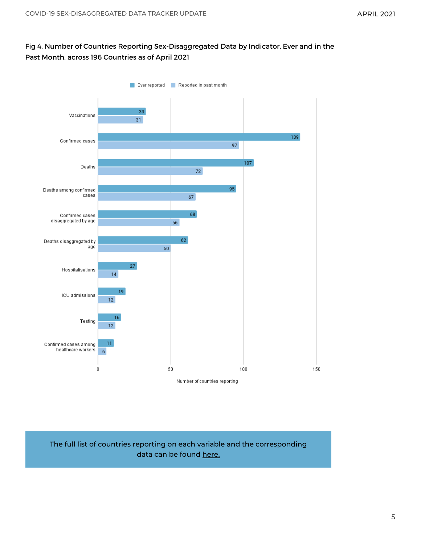## Fig 4. Number of Countries Reporting Sex-Disaggregated Data by Indicator, Ever and in the Past Month, across 196 Countries as of April 2021



## The full list of countries reporting on each variable and the corresponding data can be found [here.](https://globalhealth5050.org/the-sex-gender-and-covid-19-project/the-data-tracker/?explore=variable)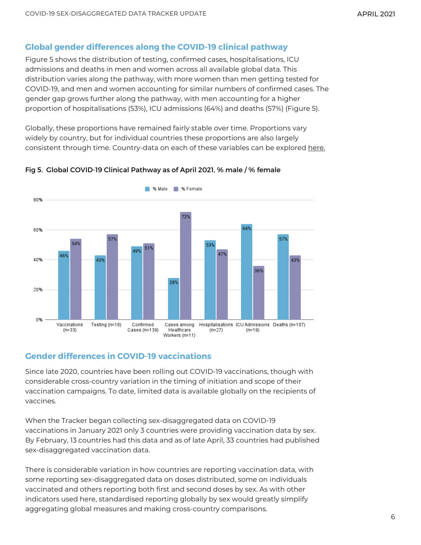## **Global gender differences along the COVID-19 clinical pathway**

Figure 5 shows the distribution of testing, confirmed cases, hospitalisations, ICU admissions and deaths in men and women across all available global data. This distribution varies along the pathway, with more women than men getting tested for COVID-19, and men and women accounting for similar numbers of confirmed cases. The gender gap grows further along the pathway, with men accounting for a higher proportion of hospitalisations (53%), ICU admissions (64%) and deaths (57%) (Figure 5).

Globally, these proportions have remained fairly stable over time. Proportions vary widely by country, but for individual countries these proportions are also largely consistent through time. Country-data on each of these variables can be explored [here.](https://globalhealth5050.org/the-sex-gender-and-covid-19-project/the-data-tracker/?explore=country)



#### Fig 5. Global COVID-19 Clinical Pathway as of April 2021, % male / % female

## **Gender differences in COVID-19 vaccinations**

Since late 2020, countries have been rolling out COVID-19 vaccinations, though with considerable cross-country variation in the timing of initiation and scope of their vaccination campaigns. To date, limited data is available globally on the recipients of vaccines.

When the Tracker began collecting sex-disaggregated data on COVID-19 vaccinations in January 2021 only 3 countries were providing vaccination data by sex. By February, 13 countries had this data and as of late April, 33 countries had published sex-disaggregated vaccination data.

There is considerable variation in how countries are reporting vaccination data, with some reporting sex-disaggregated data on doses distributed, some on individuals vaccinated and others reporting both first and second doses by sex. As with other indicators used here, standardised reporting globally by sex would greatly simplify aggregating global measures and making cross-country comparisons.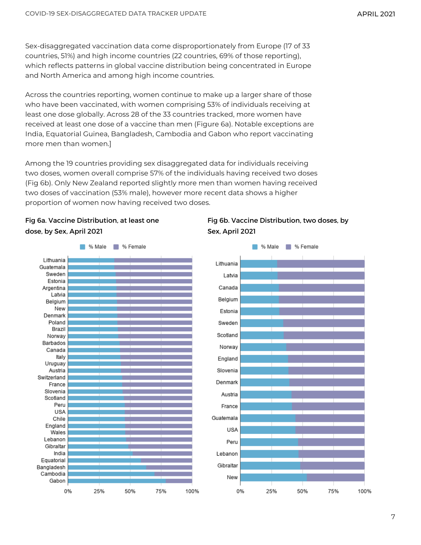Sex-disaggregated vaccination data come disproportionately from Europe (17 of 33 countries, 51%) and high income countries (22 countries, 69% of those reporting), which reflects patterns in global vaccine distribution being [concentrated](https://www.nytimes.com/interactive/2021/world/covid-vaccinations-tracker.html) in Europe and North America and among high income countries.

Across the countries reporting, women continue to make up a larger share of those who have been vaccinated, with women comprising 53% of individuals receiving at least one dose globally. Across 28 of the 33 countries tracked, more women have received at least one dose of a vaccine than men (Figure 6a). Notable exceptions are India, Equatorial Guinea, Bangladesh, Cambodia and Gabon who report vaccinating more men than women.]

Among the 19 countries providing sex disaggregated data for individuals receiving two doses, women overall comprise 57% of the individuals having received two doses (Fig 6b). Only New Zealand reported slightly more men than women having received two doses of vaccination (53% male), however more recent data shows a higher proportion of women now having received two doses.







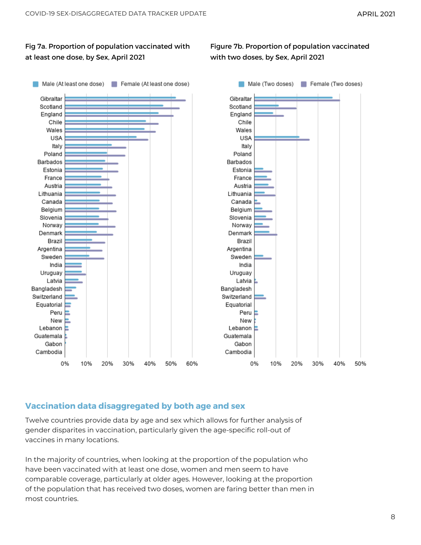#### Fig 7a. Proportion of population vaccinated with at least one dose, by Sex, April 2021

Figure 7b. Proportion of population vaccinated with two doses, by Sex, April 2021



# **Vaccination data disaggregated by both age and sex**

Twelve countries provide data by age and sex which allows for further analysis of gender disparites in vaccination, particularly given the age-specific roll-out of vaccines in many locations.

In the majority of countries, when looking at the proportion of the population who have been vaccinated with at least one dose, women and men seem to have comparable coverage, particularly at older ages. However, looking at the proportion of the population that has received two doses, women are faring better than men in most countries.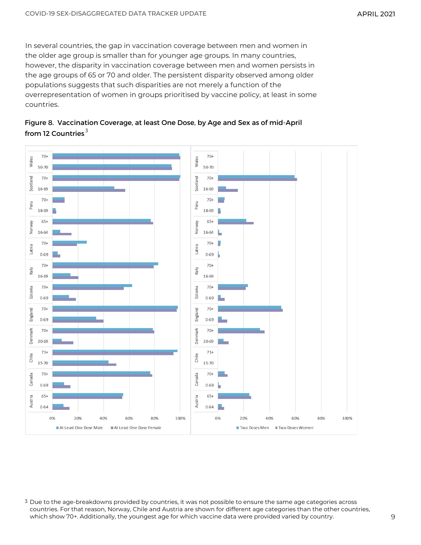In several countries, the gap in vaccination coverage between men and women in the older age group is smaller than for younger age groups. In many countries, however, the disparity in vaccination coverage between men and women persists in the age groups of 65 or 70 and older. The persistent disparity observed among older populations suggests that such disparities are not merely a function of the overrepresentation of women in groups prioritised by vaccine policy, at least in some countries.





 $^{\rm 3}$  Due to the age-breakdowns provided by countries, it was not possible to ensure the same age categories across countries. For that reason, Norway, Chile and Austria are shown for different age categories than the other countries, which show 70+. Additionally, the youngest age for which vaccine data were provided varied by country.